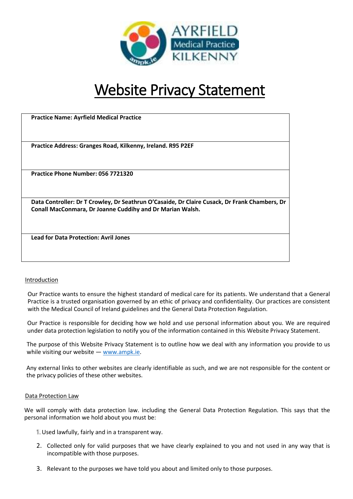

# Website Privacy Statement

| <b>Practice Name: Ayrfield Medical Practice</b>                                                                                                            |
|------------------------------------------------------------------------------------------------------------------------------------------------------------|
| Practice Address: Granges Road, Kilkenny, Ireland. R95 P2EF                                                                                                |
| Practice Phone Number: 056 7721320                                                                                                                         |
| Data Controller: Dr T Crowley, Dr Seathrun O'Casaide, Dr Claire Cusack, Dr Frank Chambers, Dr<br>Conall MacConmara, Dr Joanne Cuddihy and Dr Marian Walsh. |
| <b>Lead for Data Protection: Avril Jones</b>                                                                                                               |

# Introduction

Our Practice wants to ensure the highest standard of medical care for its patients. We understand that a General Practice is a trusted organisation governed by an ethic of privacy and confidentiality. Our practices are consistent with the Medical Council of Ireland guidelines and the General Data Protection Regulation.

Our Practice is responsible for deciding how we hold and use personal information about you. We are required under data protection legislation to notify you of the information contained in this Website Privacy Statement.

The purpose of this Website Privacy Statement is to outline how we deal with any information you provide to us while visiting our website — [www.ampk.ie.](file:///C:/Users/paula/OneDrive%20-%20Ayrfield%20Medical%20Practice/Desktop/www.ampk.ie)

Any external links to other websites are clearly identifiable as such, and we are not responsible for the content or the privacy policies of these other websites.

### Data Protection Law

We will comply with data protection law. including the General Data Protection Regulation. This says that the personal information we hold about you must be:

- Used lawfully, fairly and in a transparent way.
- 2. Collected only for valid purposes that we have clearly explained to you and not used in any way that is incompatible with those purposes.
- 3. Relevant to the purposes we have told you about and limited only to those purposes.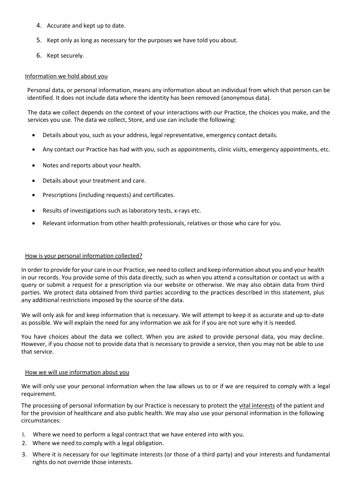- 4. Accurate and kept up to date.
- 5. Kept only as long as necessary for the purposes we have told you about.
- 6. Kept securely.

#### Information we hold about you

Personal data, or personal information, means any information about an individual from which that person can be identified. It does not include data where the identity has been removed (anonymous data).

The data we collect depends on the context of your interactions with our Practice, the choices you make, and the services you use. The data we collect, Store, and use can include the following:

- Details about you, such as your address, legal representative, emergency contact details.
- Any contact our Practice has had with you, such as appointments, clinic visits, emergency appointments, etc.
- Notes and reports about your health.
- Details about your treatment and care.
- Prescriptions (including requests) and certificates.
- Results of investigations such as laboratory tests, x-rays etc.
- Relevant information from other health professionals, relatives or those who care for you.

#### How is your personal information collected?

In order to provide for your care in our Practice, we need to collect and keep information about you and your health in our records. You provide some of this data directly, such as when you attend a consultation or contact us with a query or submit a request for a prescription via our website or otherwise. We may also obtain data from third parties. We protect data obtained from third parties according to the practices described in this statement, plus any additional restrictions imposed by the source of the data.

We will only ask for and keep information that is necessary. We will attempt to keep it as accurate and up to-date as possible. We will explain the need for any information we ask for if you are not sure why it is needed.

You have choices about the data we collect. When you are asked to provide personal data, you may decline. However, if you choose not to provide data that is necessary to provide a service, then you may not be able to use that service.

#### How we will use information about you

We will only use your personal information when the law allows us to or if we are required to comply with a legal requirement.

The processing of personal information by our Practice is necessary to protect the vital interests of the patient and for the provision of healthcare and also public health. We may also use your personal information in the following circumstances:

- I. Where we need to perform a legal contract that we have entered into with you.
- 2. Where we need to comply with a legal obligation.
- 3. Where it is necessary for our legitimate interests (or those of a third party) and your interests and fundamental rights do not override those interests.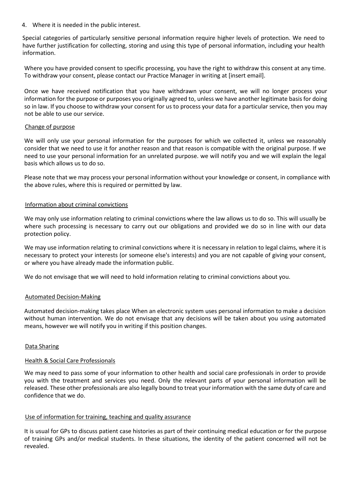4. Where it is needed in the public interest.

Special categories of particularly sensitive personal information require higher levels of protection. We need to have further justification for collecting, storing and using this type of personal information, including your health information.

Where you have provided consent to specific processing, you have the right to withdraw this consent at any time. To withdraw your consent, please contact our Practice Manager in writing at [insert email].

Once we have received notification that you have withdrawn your consent, we will no longer process your information for the purpose or purposes you originally agreed to, unless we have another legitimate basis for doing so in law. If you choose to withdraw your consent for us to process your data for a particular service, then you may not be able to use our service.

#### Change of purpose

We will only use your personal information for the purposes for which we collected it, unless we reasonably consider that we need to use it for another reason and that reason is compatible with the original purpose. If we need to use your personal information for an unrelated purpose. we will notify you and we will explain the legal basis which allows us to do so.

Please note that we may process your personal information without your knowledge or consent, in compliance with the above rules, where this is required or permitted by law.

#### Information about criminal convictions

We may only use information relating to criminal convictions where the law allows us to do so. This will usually be where such processing is necessary to carry out our obligations and provided we do so in line with our data protection policy.

We may use information relating to criminal convictions where it is necessary in relation to legal claims, where it is necessary to protect your interests (or someone else's interests) and you are not capable of giving your consent, or where you have already made the information public.

We do not envisage that we will need to hold information relating to criminal convictions about you.

### Automated Decision-Making

Automated decision-making takes place When an electronic system uses personal information to make a decision without human intervention. We do not envisage that any decisions will be taken about you using automated means, however we will notify you in writing if this position changes.

### Data Sharing

#### Health & Social Care Professionals

We may need to pass some of your information to other health and social care professionals in order to provide you with the treatment and services you need. Only the relevant parts of your personal information will be released. These other professionals are also legally bound to treat your information with the same duty of care and confidence that we do.

### Use of information for training, teaching and quality assurance

It is usual for GPs to discuss patient case histories as part of their continuing medical education or for the purpose of training GPs and/or medical students. In these situations, the identity of the patient concerned will not be revealed.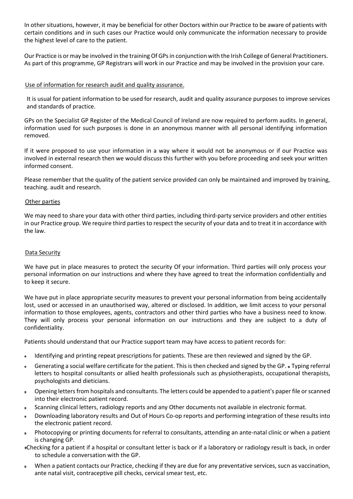In other situations, however, it may be beneficial for other Doctors within our Practice to be aware of patients with certain conditions and in such cases our Practice would only communicate the information necessary to provide the highest level of care to the patient.

Our Practice is or may be involved in the training Of GPs in conjunction with the Irish College of General Practitioners. As part of this programme, GP Registrars will work in our Practice and may be involved in the provision your care.

## Use of information for research audit and quality assurance

It is usual for patient information to be used for research, audit and quality assurance purposes to improve services and standards of practice.

GPs on the Specialist GP Register of the Medical Council of Ireland are now required to perform audits. In general, information used for such purposes is done in an anonymous manner with all personal identifying information removed.

If it were proposed to use your information in a way where it would not be anonymous or if our Practice was involved in external research then we would discuss this further with you before proceeding and seek your written informed consent.

Please remember that the quality of the patient service provided can only be maintained and improved by training, teaching. audit and research.

### Other parties

We may need to share your data with other third parties, including third-party service providers and other entities in our Practice group. We require third parties to respect the security of your data and to treat it in accordance with the law.

## Data Security

We have put in place measures to protect the security Of your information. Third parties will only process your personal information on our instructions and where they have agreed to treat the information confidentially and to keep it secure.

We have put in place appropriate security measures to prevent your personal information from being accidentally lost, used or accessed in an unauthorised way, altered or disclosed. In addition, we limit access to your personal information to those employees, agents, contractors and other third parties who have a business need to know. They will only process your personal information on our instructions and they are subject to a duty of confidentiality.

Patients should understand that our Practice support team may have access to patient records for:

- Identifying and printing repeat prescriptions for patients. These are then reviewed and signed by the GP.  $\bullet$
- Generating a social welfare certificate for the patient. This is then checked and signed by the GP. Typing referral ٠ letters to hospital consultants or allied health professionals such as physiotherapists, occupational therapists, psychologists and dieticians.
- Opening letters from hospitals and consultants. The letters could be appended to a patient's paper file or scanned into their electronic patient record.
- Scanning clinical letters, radiology reports and any Other documents not available in electronic format.
- Downloading laboratory results and Out of Hours Co-op reports and performing integration of these results into  $\bullet$ the electronic patient record.
- Photocopying or printing documents for referral to consultants, attending an ante-natal clinic or when a patient  $\bullet$ is changing GP.
- Checking for a patient if a hospital or consultant letter is back or if a laboratory or radiology result is back, in order to schedule a conversation with the GP.
- When a patient contacts our Practice, checking if they are due for any preventative services, sucn as vaccination,  $\bullet$ ante natal visit, contraceptive pill checks, cervical smear test, etc.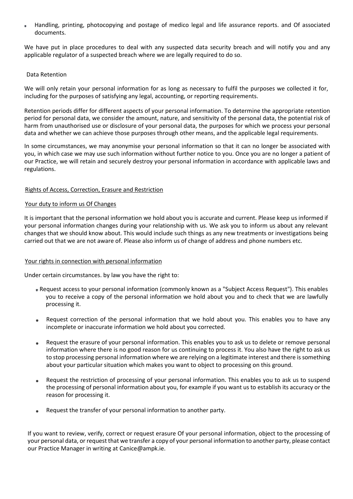Handling, printing, photocopying and postage of medico legal and life assurance reports. and Of associated documents.

We have put in place procedures to deal with any suspected data security breach and will notify you and any applicable regulator of a suspected breach where we are legally required to do so.

#### Data Retention

We will only retain your personal information for as long as necessary to fulfil the purposes we collected it for, including for the purposes of satisfying any legal, accounting, or reporting requirements.

Retention periods differ for different aspects of your personal information. To determine the appropriate retention period for personal data, we consider the amount, nature, and sensitivity of the personal data, the potential risk of harm from unauthorised use or disclosure of your personal data, the purposes for which we process your personal data and whether we can achieve those purposes through other means, and the applicable legal requirements.

In some circumstances, we may anonymise your personal information so that it can no longer be associated with you, in which case we may use such information without further notice to you. Once you are no longer a patient of our Practice, we will retain and securely destroy your personal information in accordance with applicable laws and regulations.

#### Rights of Access, Correction, Erasure and Restriction

#### Your duty to inform us Of Changes

It is important that the personal information we hold about you is accurate and current. Please keep us informed if your personal information changes during your relationship with us. We ask you to inform us about any relevant changes that we should know about. This would include such things as any new treatments or investigations being carried out that we are not aware of. Please also inform us of change of address and phone numbers etc.

### Your rights in connection with personal information

Under certain circumstances. by law you have the right to:

- Request access to your personal information (commonly known as a "Subject Access Request"). This enables you to receive a copy of the personal information we hold about you and to check that we are lawfully processing it.
- Request correction of the personal information that we hold about you. This enables you to have any  $\bullet$ incomplete or inaccurate information we hold about you corrected.
- Request the erasure of your personal information. This enables you to ask us to delete or remove personal  $\bullet$ information where there is no good reason for us continuing to process it. You also have the right to ask us to stop processing personal information where we are relying on a legitimate interest and there is something about your particular situation which makes you want to object to processing on this ground.
- Request the restriction of processing of your personal information. This enables you to ask us to suspend the processing of personal information about you, for example if you want us to establish its accuracy or the reason for processing it.
- Request the transfer of your personal information to another party.

If you want to review, verify, correct or request erasure Of your personal information, object to the processing of your personal data, or request that we transfer a copy of your personal information to another party, please contact our Practice Manager in writing at Canice@ampk.ie.